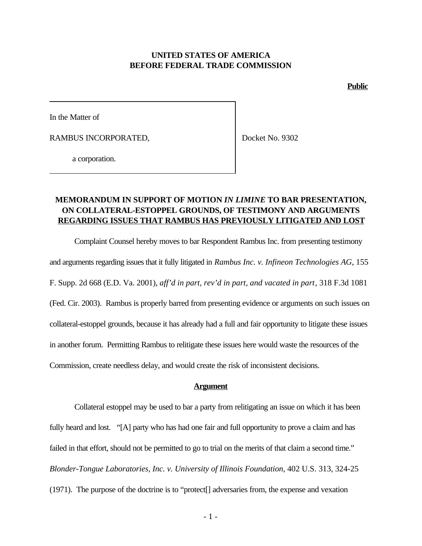### **UNITED STATES OF AMERICA BEFORE FEDERAL TRADE COMMISSION**

**Public**

In the Matter of

RAMBUS INCORPORATED,

Docket No. 9302

a corporation.

## **MEMORANDUM IN SUPPORT OF MOTION** *IN LIMINE* **TO BAR PRESENTATION, ON COLLATERAL-ESTOPPEL GROUNDS, OF TESTIMONY AND ARGUMENTS REGARDING ISSUES THAT RAMBUS HAS PREVIOUSLY LITIGATED AND LOST**

Complaint Counsel hereby moves to bar Respondent Rambus Inc. from presenting testimony and arguments regarding issues that it fully litigated in *Rambus Inc. v. Infineon Technologies AG*, 155 F. Supp. 2d 668 (E.D. Va. 2001), *aff'd in part, rev'd in part, and vacated in part*, 318 F.3d 1081 (Fed. Cir. 2003). Rambus is properly barred from presenting evidence or arguments on such issues on collateral-estoppel grounds, because it has already had a full and fair opportunity to litigate these issues in another forum. Permitting Rambus to relitigate these issues here would waste the resources of the Commission, create needless delay, and would create the risk of inconsistent decisions.

#### **Argument**

Collateral estoppel may be used to bar a party from relitigating an issue on which it has been fully heard and lost. "[A] party who has had one fair and full opportunity to prove a claim and has failed in that effort, should not be permitted to go to trial on the merits of that claim a second time." *Blonder-Tongue Laboratories, Inc. v. University of Illinois Foundation*, 402 U.S. 313, 324-25 (1971). The purpose of the doctrine is to "protect[] adversaries from, the expense and vexation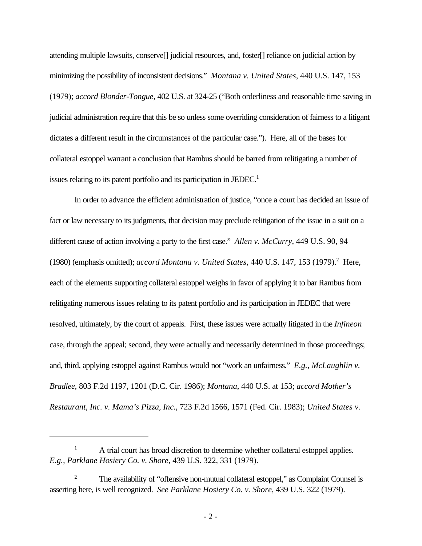attending multiple lawsuits, conserve[] judicial resources, and, foster[] reliance on judicial action by minimizing the possibility of inconsistent decisions." *Montana v. United States*, 440 U.S. 147, 153 (1979); *accord Blonder-Tongue*, 402 U.S. at 324-25 ("Both orderliness and reasonable time saving in judicial administration require that this be so unless some overriding consideration of fairness to a litigant dictates a different result in the circumstances of the particular case."). Here, all of the bases for collateral estoppel warrant a conclusion that Rambus should be barred from relitigating a number of issues relating to its patent portfolio and its participation in JEDEC.<sup>1</sup>

In order to advance the efficient administration of justice, "once a court has decided an issue of fact or law necessary to its judgments, that decision may preclude relitigation of the issue in a suit on a different cause of action involving a party to the first case." *Allen v. McCurry*, 449 U.S. 90, 94 (1980) (emphasis omitted); *accord Montana v. United States*, 440 U.S. 147, 153 (1979).<sup>2</sup> Here, each of the elements supporting collateral estoppel weighs in favor of applying it to bar Rambus from relitigating numerous issues relating to its patent portfolio and its participation in JEDEC that were resolved, ultimately, by the court of appeals. First, these issues were actually litigated in the *Infineon* case, through the appeal; second, they were actually and necessarily determined in those proceedings; and, third, applying estoppel against Rambus would not "work an unfairness." *E.g.*, *McLaughlin v. Bradlee*, 803 F.2d 1197, 1201 (D.C. Cir. 1986); *Montana*, 440 U.S. at 153; *accord Mother's Restaurant, Inc. v. Mama's Pizza, Inc.*, 723 F.2d 1566, 1571 (Fed. Cir. 1983); *United States v.*

<sup>&</sup>lt;sup>1</sup> A trial court has broad discretion to determine whether collateral estoppel applies. *E.g.*, *Parklane Hosiery Co. v. Shore*, 439 U.S. 322, 331 (1979).

<sup>&</sup>lt;sup>2</sup> The availability of "offensive non-mutual collateral estoppel," as Complaint Counsel is asserting here, is well recognized. *See Parklane Hosiery Co. v. Shore*, 439 U.S. 322 (1979).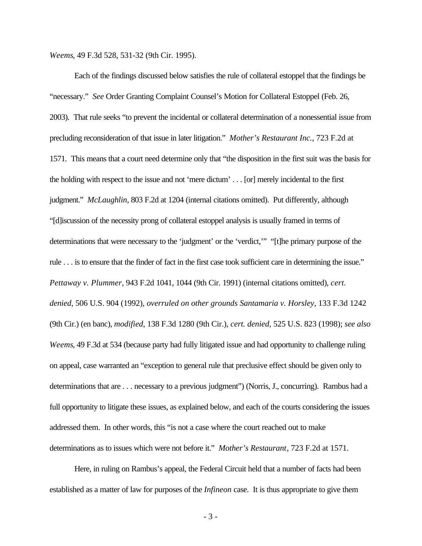*Weems*, 49 F.3d 528, 531-32 (9th Cir. 1995).

Each of the findings discussed below satisfies the rule of collateral estoppel that the findings be "necessary." *See* Order Granting Complaint Counsel's Motion for Collateral Estoppel (Feb. 26, 2003). That rule seeks "to prevent the incidental or collateral determination of a nonessential issue from precluding reconsideration of that issue in later litigation." *Mother's Restaurant Inc.*, 723 F.2d at 1571. This means that a court need determine only that "the disposition in the first suit was the basis for the holding with respect to the issue and not 'mere dictum' . . . [or] merely incidental to the first judgment." *McLaughlin*, 803 F.2d at 1204 (internal citations omitted). Put differently, although "[d]iscussion of the necessity prong of collateral estoppel analysis is usually framed in terms of determinations that were necessary to the 'judgment' or the 'verdict,'" "[t]he primary purpose of the rule . . . is to ensure that the finder of fact in the first case took sufficient care in determining the issue." *Pettaway v. Plummer*, 943 F.2d 1041, 1044 (9th Cir. 1991) (internal citations omitted), *cert. denied*, 506 U.S. 904 (1992), *overruled on other grounds Santamaria v. Horsley*, 133 F.3d 1242 (9th Cir.) (en banc), *modified*, 138 F.3d 1280 (9th Cir.), *cert. denied*, 525 U.S. 823 (1998); *see also Weems*, 49 F.3d at 534 (because party had fully litigated issue and had opportunity to challenge ruling on appeal, case warranted an "exception to general rule that preclusive effect should be given only to determinations that are . . . necessary to a previous judgment") (Norris, J., concurring). Rambus had a full opportunity to litigate these issues, as explained below, and each of the courts considering the issues addressed them. In other words, this "is not a case where the court reached out to make determinations as to issues which were not before it." *Mother's Restaurant*, 723 F.2d at 1571.

Here, in ruling on Rambus's appeal, the Federal Circuit held that a number of facts had been established as a matter of law for purposes of the *Infineon* case. It is thus appropriate to give them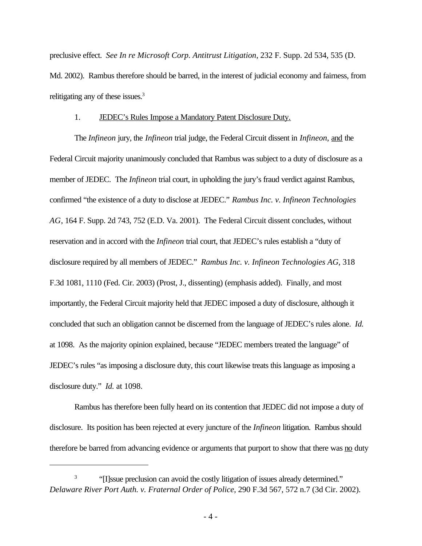preclusive effect. *See In re Microsoft Corp. Antitrust Litigation*, 232 F. Supp. 2d 534, 535 (D. Md. 2002). Rambus therefore should be barred, in the interest of judicial economy and fairness, from relitigating any of these issues.<sup>3</sup>

#### 1. JEDEC's Rules Impose a Mandatory Patent Disclosure Duty.

The *Infineon* jury, the *Infineon* trial judge, the Federal Circuit dissent in *Infineon*, and the Federal Circuit majority unanimously concluded that Rambus was subject to a duty of disclosure as a member of JEDEC. The *Infineon* trial court, in upholding the jury's fraud verdict against Rambus, confirmed "the existence of a duty to disclose at JEDEC." *Rambus Inc. v. Infineon Technologies AG*, 164 F. Supp. 2d 743, 752 (E.D. Va. 2001). The Federal Circuit dissent concludes, without reservation and in accord with the *Infineon* trial court, that JEDEC's rules establish a "duty of disclosure required by all members of JEDEC." *Rambus Inc. v. Infineon Technologies AG*, 318 F.3d 1081, 1110 (Fed. Cir. 2003) (Prost, J., dissenting) (emphasis added). Finally, and most importantly, the Federal Circuit majority held that JEDEC imposed a duty of disclosure, although it concluded that such an obligation cannot be discerned from the language of JEDEC's rules alone. *Id.* at 1098. As the majority opinion explained, because "JEDEC members treated the language" of JEDEC's rules "as imposing a disclosure duty, this court likewise treats this language as imposing a disclosure duty." *Id.* at 1098.

Rambus has therefore been fully heard on its contention that JEDEC did not impose a duty of disclosure. Its position has been rejected at every juncture of the *Infineon* litigation. Rambus should therefore be barred from advancing evidence or arguments that purport to show that there was no duty

<sup>3</sup> "[I]ssue preclusion can avoid the costly litigation of issues already determined." *Delaware River Port Auth. v. Fraternal Order of Police*, 290 F.3d 567, 572 n.7 (3d Cir. 2002).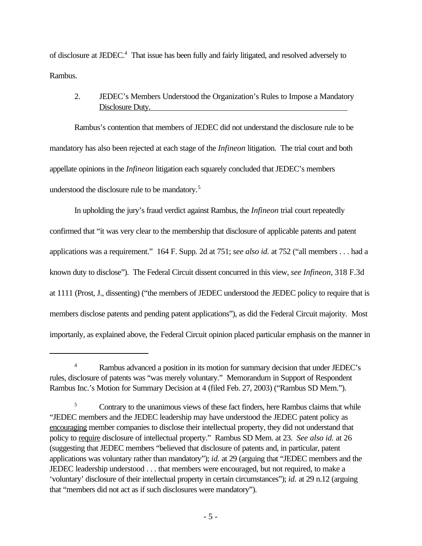of disclosure at JEDEC.<sup>4</sup> That issue has been fully and fairly litigated, and resolved adversely to Rambus.

# 2. JEDEC's Members Understood the Organization's Rules to Impose a Mandatory Disclosure Duty.

Rambus's contention that members of JEDEC did not understand the disclosure rule to be mandatory has also been rejected at each stage of the *Infineon* litigation. The trial court and both appellate opinions in the *Infineon* litigation each squarely concluded that JEDEC's members understood the disclosure rule to be mandatory.<sup>5</sup>

In upholding the jury's fraud verdict against Rambus, the *Infineon* trial court repeatedly confirmed that "it was very clear to the membership that disclosure of applicable patents and patent applications was a requirement." 164 F. Supp. 2d at 751; *see also id.* at 752 ("all members . . . had a known duty to disclose"). The Federal Circuit dissent concurred in this view, *see Infineon*, 318 F.3d at 1111 (Prost, J., dissenting) ("the members of JEDEC understood the JEDEC policy to require that is members disclose patents and pending patent applications"), as did the Federal Circuit majority. Most importanly, as explained above, the Federal Circuit opinion placed particular emphasis on the manner in

<sup>&</sup>lt;sup>4</sup> Rambus advanced a position in its motion for summary decision that under JEDEC's rules, disclosure of patents was "was merely voluntary." Memorandum in Support of Respondent Rambus Inc.'s Motion for Summary Decision at 4 (filed Feb. 27, 2003) ("Rambus SD Mem.").

<sup>&</sup>lt;sup>5</sup> Contrary to the unanimous views of these fact finders, here Rambus claims that while "JEDEC members and the JEDEC leadership may have understood the JEDEC patent policy as encouraging member companies to disclose their intellectual property, they did not understand that policy to require disclosure of intellectual property." Rambus SD Mem. at 23. *See also id.* at 26 (suggesting that JEDEC members "believed that disclosure of patents and, in particular, patent applications was voluntary rather than mandatory"); *id.* at 29 (arguing that "JEDEC members and the JEDEC leadership understood . . . that members were encouraged, but not required, to make a 'voluntary' disclosure of their intellectual property in certain circumstances"); *id.* at 29 n.12 (arguing that "members did not act as if such disclosures were mandatory").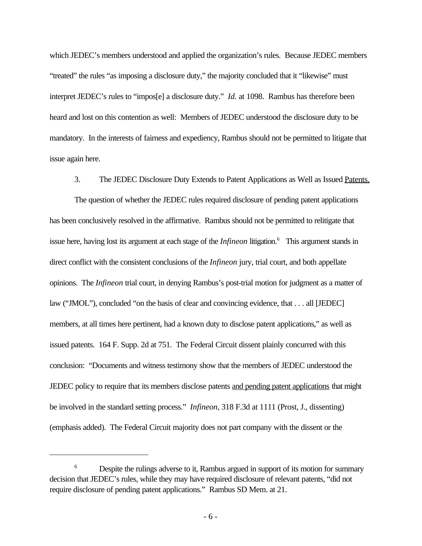which JEDEC's members understood and applied the organization's rules. Because JEDEC members "treated" the rules "as imposing a disclosure duty," the majority concluded that it "likewise" must interpret JEDEC's rules to "impos[e] a disclosure duty." *Id.* at 1098. Rambus has therefore been heard and lost on this contention as well: Members of JEDEC understood the disclosure duty to be mandatory. In the interests of fairness and expediency, Rambus should not be permitted to litigate that issue again here.

3. The JEDEC Disclosure Duty Extends to Patent Applications as Well as Issued Patents.

The question of whether the JEDEC rules required disclosure of pending patent applications has been conclusively resolved in the affirmative. Rambus should not be permitted to relitigate that issue here, having lost its argument at each stage of the *Infineon* litigation.<sup>6</sup> This argument stands in direct conflict with the consistent conclusions of the *Infineon* jury, trial court, and both appellate opinions. The *Infineon* trial court, in denying Rambus's post-trial motion for judgment as a matter of law ("JMOL"), concluded "on the basis of clear and convincing evidence, that . . . all [JEDEC] members, at all times here pertinent, had a known duty to disclose patent applications," as well as issued patents. 164 F. Supp. 2d at 751. The Federal Circuit dissent plainly concurred with this conclusion: "Documents and witness testimony show that the members of JEDEC understood the JEDEC policy to require that its members disclose patents and pending patent applications that might be involved in the standard setting process." *Infineon*, 318 F.3d at 1111 (Prost, J., dissenting) (emphasis added). The Federal Circuit majority does not part company with the dissent or the

<sup>&</sup>lt;sup>6</sup> Despite the rulings adverse to it, Rambus argued in support of its motion for summary decision that JEDEC's rules, while they may have required disclosure of relevant patents, "did not require disclosure of pending patent applications." Rambus SD Mem. at 21.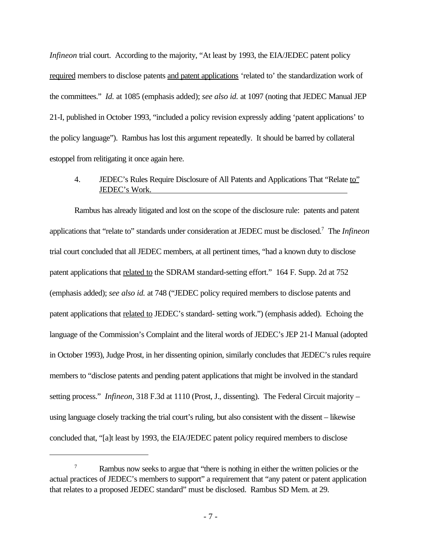*Infineon* trial court. According to the majority, "At least by 1993, the EIA/JEDEC patent policy required members to disclose patents and patent applications 'related to' the standardization work of the committees." *Id.* at 1085 (emphasis added); *see also id.* at 1097 (noting that JEDEC Manual JEP 21-I, published in October 1993, "included a policy revision expressly adding 'patent applications' to the policy language"). Rambus has lost this argument repeatedly. It should be barred by collateral estoppel from relitigating it once again here.

# 4. JEDEC's Rules Require Disclosure of All Patents and Applications That "Relate to" JEDEC's Work.

Rambus has already litigated and lost on the scope of the disclosure rule: patents and patent applications that "relate to" standards under consideration at JEDEC must be disclosed.<sup>7</sup> The *Infineon* trial court concluded that all JEDEC members, at all pertinent times, "had a known duty to disclose patent applications that related to the SDRAM standard-setting effort." 164 F. Supp. 2d at 752 (emphasis added); *see also id.* at 748 ("JEDEC policy required members to disclose patents and patent applications that related to JEDEC's standard- setting work.") (emphasis added). Echoing the language of the Commission's Complaint and the literal words of JEDEC's JEP 21-I Manual (adopted in October 1993), Judge Prost, in her dissenting opinion, similarly concludes that JEDEC's rules require members to "disclose patents and pending patent applications that might be involved in the standard setting process." *Infineon*, 318 F.3d at 1110 (Prost, J., dissenting). The Federal Circuit majority – using language closely tracking the trial court's ruling, but also consistent with the dissent – likewise concluded that, "[a]t least by 1993, the EIA/JEDEC patent policy required members to disclose

<sup>&</sup>lt;sup>7</sup> Rambus now seeks to argue that "there is nothing in either the written policies or the actual practices of JEDEC's members to support" a requirement that "any patent or patent application that relates to a proposed JEDEC standard" must be disclosed. Rambus SD Mem. at 29.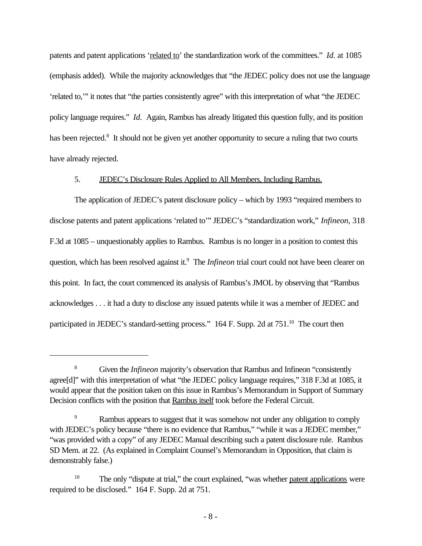patents and patent applications 'related to' the standardization work of the committees." *Id.* at 1085 (emphasis added). While the majority acknowledges that "the JEDEC policy does not use the language 'related to,'" it notes that "the parties consistently agree" with this interpretation of what "the JEDEC policy language requires." *Id.* Again, Rambus has already litigated this question fully, and its position has been rejected.<sup>8</sup> It should not be given yet another opportunity to secure a ruling that two courts have already rejected.

### 5. JEDEC's Disclosure Rules Applied to All Members, Including Rambus.

The application of JEDEC's patent disclosure policy – which by 1993 "required members to disclose patents and patent applications 'related to'" JEDEC's "standardization work," *Infineon*, 318 F.3d at 1085 – unquestionably applies to Rambus. Rambus is no longer in a position to contest this question, which has been resolved against it.<sup>9</sup> The *Infineon* trial court could not have been clearer on this point. In fact, the court commenced its analysis of Rambus's JMOL by observing that "Rambus acknowledges . . . it had a duty to disclose any issued patents while it was a member of JEDEC and participated in JEDEC's standard-setting process." 164 F. Supp. 2d at 751.<sup>10</sup> The court then

<sup>8</sup> Given the *Infineon* majority's observation that Rambus and Infineon "consistently agree[d]" with this interpretation of what "the JEDEC policy language requires," 318 F.3d at 1085, it would appear that the position taken on this issue in Rambus's Memorandum in Support of Summary Decision conflicts with the position that Rambus itself took before the Federal Circuit.

Rambus appears to suggest that it was somehow not under any obligation to comply with JEDEC's policy because "there is no evidence that Rambus," "while it was a JEDEC member," "was provided with a copy" of any JEDEC Manual describing such a patent disclosure rule. Rambus SD Mem. at 22. (As explained in Complaint Counsel's Memorandum in Opposition, that claim is demonstrably false.)

<sup>&</sup>lt;sup>10</sup> The only "dispute at trial," the court explained, "was whether <u>patent applications</u> were required to be disclosed." 164 F. Supp. 2d at 751.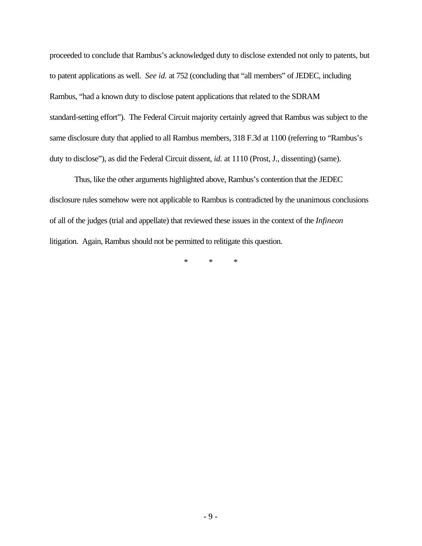proceeded to conclude that Rambus's acknowledged duty to disclose extended not only to patents, but to patent applications as well. *See id.* at 752 (concluding that "all members" of JEDEC, including Rambus, "had a known duty to disclose patent applications that related to the SDRAM standard-setting effort"). The Federal Circuit majority certainly agreed that Rambus was subject to the same disclosure duty that applied to all Rambus members, 318 F.3d at 1100 (referring to "Rambus's duty to disclose"), as did the Federal Circuit dissent, *id.* at 1110 (Prost, J., dissenting) (same).

Thus, like the other arguments highlighted above, Rambus's contention that the JEDEC disclosure rules somehow were not applicable to Rambus is contradicted by the unanimous conclusions of all of the judges (trial and appellate) that reviewed these issues in the context of the *Infineon* litigation. Again, Rambus should not be permitted to relitigate this question.

\* \* \*